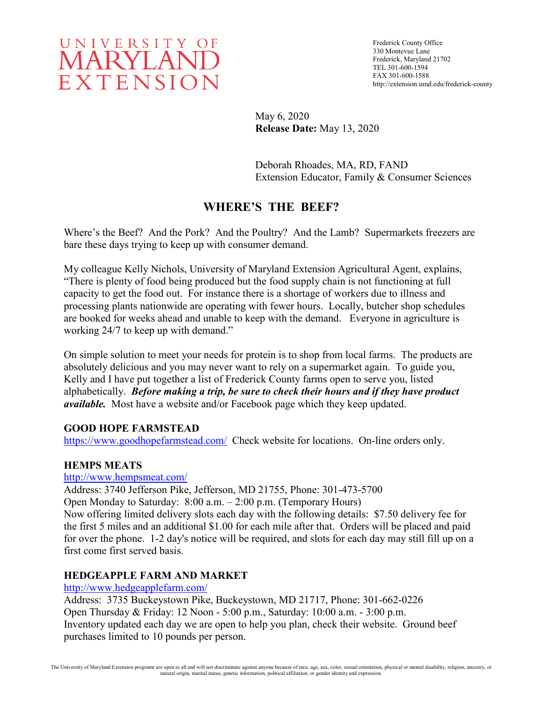

Frederick County Office 330 Montevue Lane Frederick, Maryland 21702 TEL 301-600-1594 FAX 301-600-1588 http://extension.umd.edu/frederick-county

May 6, 2020 **Release Date:** May 13, 2020

Deborah Rhoades, MA, RD, FAND Extension Educator, Family & Consumer Sciences

# **WHERE'S THE BEEF?**

Where's the Beef? And the Pork? And the Poultry? And the Lamb? Supermarkets freezers are bare these days trying to keep up with consumer demand.

My colleague Kelly Nichols, University of Maryland Extension Agricultural Agent, explains, "There is plenty of food being produced but the food supply chain is not functioning at full capacity to get the food out. For instance there is a shortage of workers due to illness and processing plants nationwide are operating with fewer hours. Locally, butcher shop schedules are booked for weeks ahead and unable to keep with the demand. Everyone in agriculture is working 24/7 to keep up with demand."

On simple solution to meet your needs for protein is to shop from local farms. The products are absolutely delicious and you may never want to rely on a supermarket again. To guide you, Kelly and I have put together a list of Frederick County farms open to serve you, listed alphabetically. *Before making a trip, be sure to check their hours and if they have product available.* Most have a website and/or Facebook page which they keep updated.

#### **GOOD HOPE FARMSTEAD**

<https://www.goodhopefarmstead.com/>Check website for locations. On-line orders only.

## **HEMPS MEATS**

#### <http://www.hempsmeat.com/>

Address: 3740 Jefferson Pike, Jefferson, MD 21755, Phone: 301-473-5700 Open Monday to Saturday: 8:00 a.m. – 2:00 p.m. (Temporary Hours) Now offering limited delivery slots each day with the following details: \$7.50 delivery fee for the first 5 miles and an additional \$1.00 for each mile after that. Orders will be placed and paid for over the phone. 1-2 day's notice will be required, and slots for each day may still fill up on a first come first served basis.

## **HEDGEAPPLE FARM AND MARKET**

#### <http://www.hedgeapplefarm.com/>

Address: 3735 Buckeystown Pike, Buckeystown, MD 21717, Phone: 301-662-0226 Open Thursday & Friday: 12 Noon - 5:00 p.m., Saturday: 10:00 a.m. - 3:00 p.m. Inventory updated each day we are open to help you plan, check their website. Ground beef purchases limited to 10 pounds per person.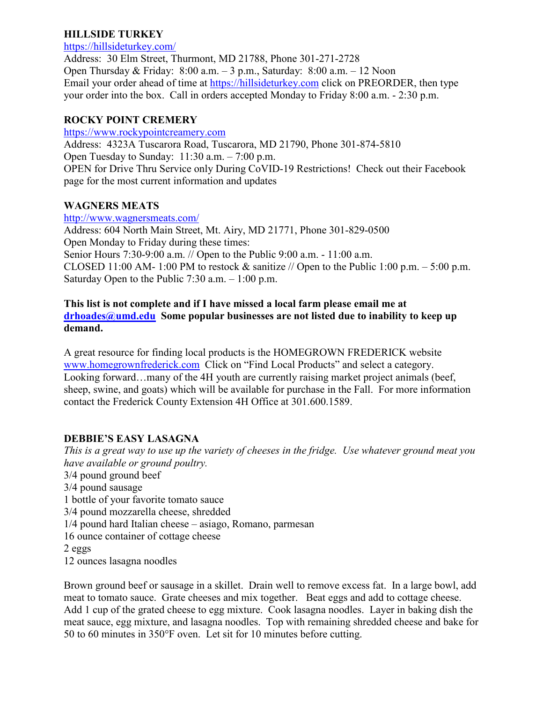### **HILLSIDE TURKEY**

#### <https://hillsideturkey.com/>

Address: 30 Elm Street, Thurmont, MD 21788, Phone 301-271-2728 Open Thursday & Friday: 8:00 a.m. – 3 p.m., Saturday: 8:00 a.m. – 12 Noon Email your order ahead of time at [https://hillsideturkey.com](https://hillsideturkey.com/) click on PREORDER, then type your order into the box. Call in orders accepted Monday to Friday 8:00 a.m. - 2:30 p.m.

### **ROCKY POINT CREMERY**

[https://www.rockypointcreamery.com](https://www.rockypointcreamery.com/)

Address: 4323A Tuscarora Road, Tuscarora, MD 21790, Phone 301-874-5810 Open Tuesday to Sunday: 11:30 a.m. – 7:00 p.m. OPEN for Drive Thru Service only During CoVID-19 Restrictions! Check out their Facebook page for the most current information and updates

### **WAGNERS MEATS**

<http://www.wagnersmeats.com/> Address: 604 North Main Street, Mt. Airy, MD 21771, Phone 301-829-0500 Open Monday to Friday during these times: Senior Hours 7:30-9:00 a.m. // Open to the Public 9:00 a.m. - 11:00 a.m. CLOSED 11:00 AM- 1:00 PM to restock  $\&$  sanitize // Open to the Public 1:00 p.m. – 5:00 p.m. Saturday Open to the Public 7:30 a.m. – 1:00 p.m.

### **This list is not complete and if I have missed a local farm please email me at [drhoades@umd.edu](mailto:drhoades@umd.edu) Some popular businesses are not listed due to inability to keep up demand.**

A great resource for finding local products is the HOMEGROWN FREDERICK website [www.homegrownfrederick.com](http://www.homegrownfrederick.com/) Click on "Find Local Products" and select a category. Looking forward…many of the 4H youth are currently raising market project animals (beef, sheep, swine, and goats) which will be available for purchase in the Fall. For more information contact the Frederick County Extension 4H Office at 301.600.1589.

## **DEBBIE'S EASY LASAGNA**

*This is a great way to use up the variety of cheeses in the fridge. Use whatever ground meat you have available or ground poultry.*  3/4 pound ground beef 3/4 pound sausage 1 bottle of your favorite tomato sauce 3/4 pound mozzarella cheese, shredded 1/4 pound hard Italian cheese – asiago, Romano, parmesan 16 ounce container of cottage cheese 2 eggs 12 ounces lasagna noodles

Brown ground beef or sausage in a skillet. Drain well to remove excess fat. In a large bowl, add meat to tomato sauce. Grate cheeses and mix together. Beat eggs and add to cottage cheese. Add 1 cup of the grated cheese to egg mixture. Cook lasagna noodles. Layer in baking dish the meat sauce, egg mixture, and lasagna noodles. Top with remaining shredded cheese and bake for 50 to 60 minutes in 350°F oven. Let sit for 10 minutes before cutting.